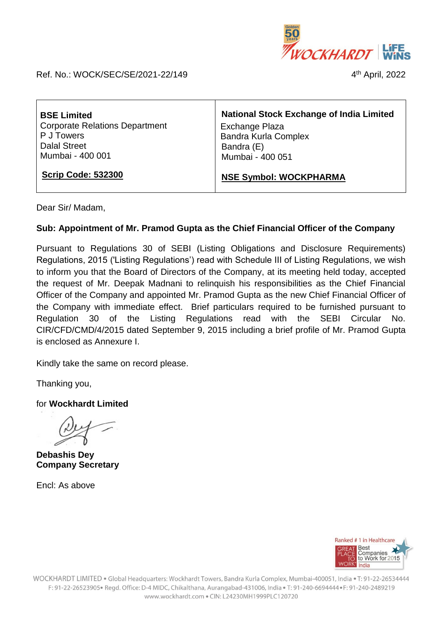

Ref. No.: WOCK/SEC/SE/2021-22/149 4

4<sup>th</sup> April, 2022

| <b>BSE Limited</b>                    | <b>National Stock Exchange of India Limited</b> |
|---------------------------------------|-------------------------------------------------|
| <b>Corporate Relations Department</b> | Exchange Plaza                                  |
| P J Towers                            | <b>Bandra Kurla Complex</b>                     |
| <b>Dalal Street</b>                   | Bandra (E)                                      |
| Mumbai - 400 001                      | Mumbai - 400 051                                |
| <b>Scrip Code: 532300</b>             | <b>NSE Symbol: WOCKPHARMA</b>                   |

Dear Sir/ Madam,

## **Sub: Appointment of Mr. Pramod Gupta as the Chief Financial Officer of the Company**

Pursuant to Regulations 30 of SEBI (Listing Obligations and Disclosure Requirements) Regulations, 2015 ('Listing Regulations') read with Schedule III of Listing Regulations, we wish to inform you that the Board of Directors of the Company, at its meeting held today, accepted the request of Mr. Deepak Madnani to relinquish his responsibilities as the Chief Financial Officer of the Company and appointed Mr. Pramod Gupta as the new Chief Financial Officer of the Company with immediate effect. Brief particulars required to be furnished pursuant to Regulation 30 of the Listing Regulations read with the SEBI Circular No. CIR/CFD/CMD/4/2015 dated September 9, 2015 including a brief profile of Mr. Pramod Gupta is enclosed as Annexure I.

Kindly take the same on record please.

Thanking you,

for **Wockhardt Limited**

**Debashis Dey Company Secretary**

Encl: As above